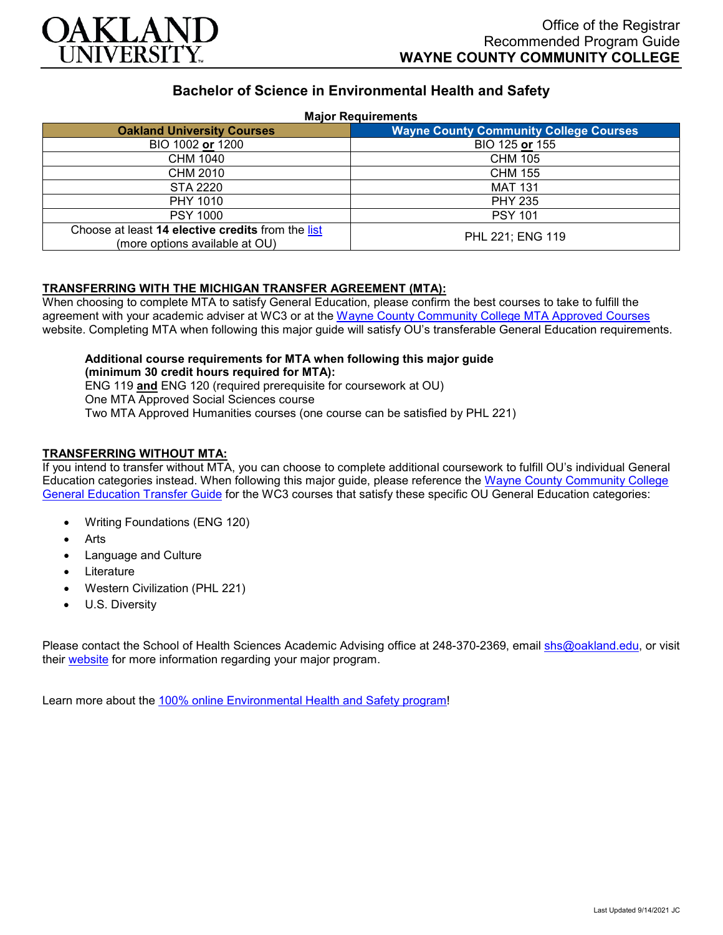

# **Bachelor of Science in Environmental Health and Safety**

#### **Major Requirements**

| <b>Oakland University Courses</b>                                                   | <b>Wayne County Community College Courses</b> |
|-------------------------------------------------------------------------------------|-----------------------------------------------|
| BIO 1002 or 1200                                                                    | BIO 125 or 155                                |
| CHM 1040                                                                            | <b>CHM 105</b>                                |
| CHM 2010                                                                            | <b>CHM 155</b>                                |
| <b>STA 2220</b>                                                                     | <b>MAT 131</b>                                |
| PHY 1010                                                                            | <b>PHY 235</b>                                |
| <b>PSY 1000</b>                                                                     | <b>PSY 101</b>                                |
| Choose at least 14 elective credits from the list<br>(more options available at OU) | PHL 221; ENG 119                              |

### **TRANSFERRING WITH THE MICHIGAN TRANSFER AGREEMENT (MTA):**

When choosing to complete MTA to satisfy General Education, please confirm the best courses to take to fulfill the agreement with your academic adviser at WC3 or at the Wayne [County Community College](http://www.wcccd.edu/students/pp_transfer_agreement.html) MTA Approved Courses website. Completing MTA when following this major guide will satisfy OU's transferable General Education requirements.

**Additional course requirements for MTA when following this major guide (minimum 30 credit hours required for MTA):** ENG 119 **and** ENG 120 (required prerequisite for coursework at OU) One MTA Approved Social Sciences course

Two MTA Approved Humanities courses (one course can be satisfied by PHL 221)

### **TRANSFERRING WITHOUT MTA:**

If you intend to transfer without MTA, you can choose to complete additional coursework to fulfill OU's individual General Education categories instead. When following this major guide, please reference the Wayne [County Community College](https://www.oakland.edu/Assets/Oakland/program-guides/wayne-county-community-college/university-general-education-requirements/Wayne%20Gen%20Ed.pdf) [General Education Transfer Guide](https://www.oakland.edu/Assets/Oakland/program-guides/wayne-county-community-college/university-general-education-requirements/Wayne%20Gen%20Ed.pdf) for the WC3 courses that satisfy these specific OU General Education categories:

- Writing Foundations (ENG 120)
- **Arts**
- Language and Culture
- **Literature**
- Western Civilization (PHL 221)
- U.S. Diversity

Please contact the School of Health Sciences Academic Advising office at 248-370-2369, email [shs@oakland.edu,](mailto:shs@oakland.edu) or visit their [website](http://www.oakland.edu/shs/advising) for more information regarding your major program.

Learn more about the [100% online Environmental Health and Safety program!](https://www.oakland.edu/online/undergraduate-degree-programs/ehs/)